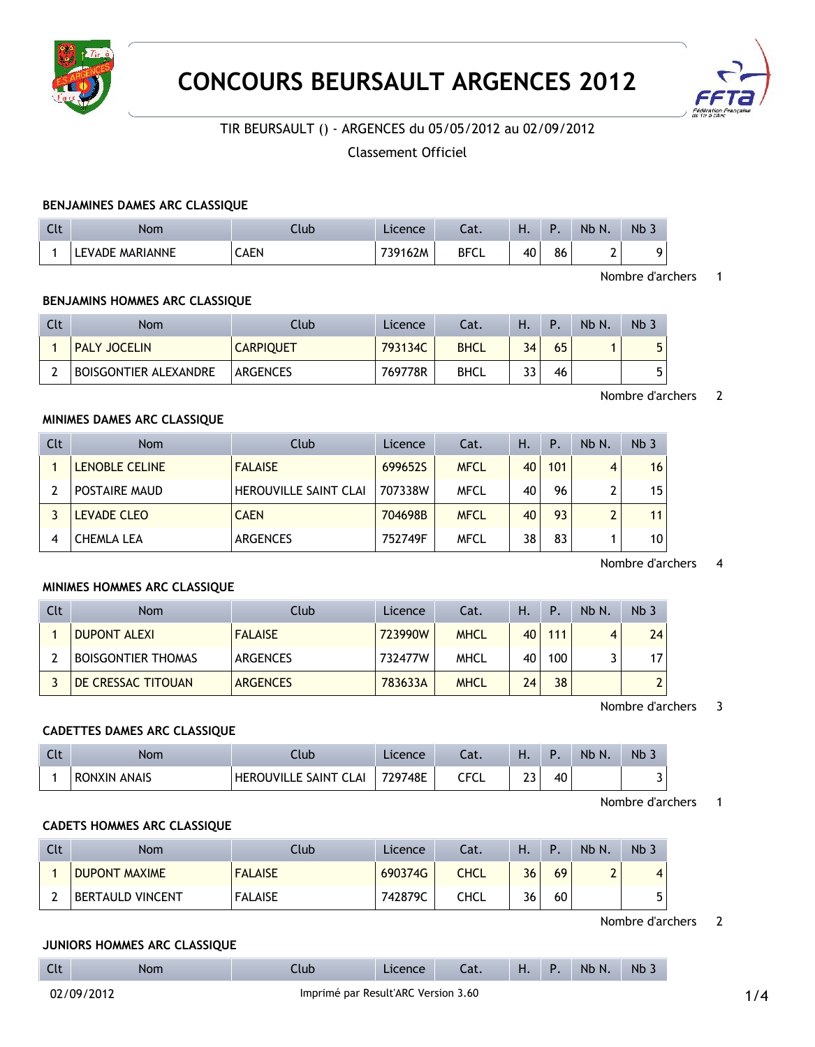



# TIR BEURSAULT () - ARGENCES du 05/05/2012 au 02/09/2012

# Classement Officiel

### **BENJAMINES DAMES ARC CLASSIQUE**

| $\sim$<br>นเ | Nom                | Llub | $\angle$ icence | - 1<br>.aι. | . . | D  | <b>Nb</b><br>N. | Nb 3 |
|--------------|--------------------|------|-----------------|-------------|-----|----|-----------------|------|
|              | MARIANNE<br>EVADE. | CAEN | 739162M         | <b>BFCL</b> | 40  | 86 | -               |      |

#### Nombre d'archers 1

### **BENJAMINS HOMMES ARC CLASSIQUE**

| Clt | Nom                          | Club             | Licence | Cat.        | н. | Р. | Nb N. | Nb. |
|-----|------------------------------|------------------|---------|-------------|----|----|-------|-----|
|     | <b>PALY JOCELIN</b>          | <b>CARPIQUET</b> | 793134C | <b>BHCL</b> | 34 | 65 |       | 5   |
|     | <b>BOISGONTIER ALEXANDRE</b> | <b>ARGENCES</b>  | 769778R | BHCL        | 33 | 46 |       | 5   |

### Nombre d'archers 2

#### **MINIMES DAMES ARC CLASSIQUE**

| Clt | <b>Nom</b>            | Club                         | Licence | Cat.        | Η. | $\mathsf{P}$ . | Nb N. | Nb <sub>3</sub> |
|-----|-----------------------|------------------------------|---------|-------------|----|----------------|-------|-----------------|
|     | <b>LENOBLE CELINE</b> | <b>FALAISE</b>               | 699652S | <b>MFCL</b> | 40 | 101            | 4     | 16              |
|     | POSTAIRE MAUD         | <b>HEROUVILLE SAINT CLAI</b> | 707338W | <b>MFCL</b> | 40 | 96             | ົ     | 15              |
|     | <b>LEVADE CLEO</b>    | <b>CAEN</b>                  | 704698B | <b>MFCL</b> | 40 | 93             | າ     | 11              |
|     | CHEMLA LEA            | <b>ARGENCES</b>              | 752749F | <b>MFCL</b> | 38 | 83             |       | 10              |

### Nombre d'archers 4

### **MINIMES HOMMES ARC CLASSIQUE**

| Clt | <b>Nom</b>                | Club            | Licence | Cat.        | Н. | Ρ.  | $Nb$ $N$ | Nb <sub>3</sub> |
|-----|---------------------------|-----------------|---------|-------------|----|-----|----------|-----------------|
|     | <b>DUPONT ALEXI</b>       | <b>FALAISE</b>  | 723990W | <b>MHCL</b> | 40 | 111 |          | 24              |
|     | <b>BOISGONTIER THOMAS</b> | ARGENCES        | 732477W | <b>MHCL</b> | 40 | 100 |          | 17              |
|     | DE CRESSAC TITOUAN        | <b>ARGENCES</b> | 783633A | <b>MHCL</b> | 24 | 38  |          |                 |

Nombre d'archers 3

#### **CADETTES DAMES ARC CLASSIQUE**

| Clt | Nom                           | .lub                                      | cence   | Jat.      | . .                                     | D  | Nb N. | $Nb$ . |
|-----|-------------------------------|-------------------------------------------|---------|-----------|-----------------------------------------|----|-------|--------|
|     | <b>ANAIS</b><br><b>RONXIN</b> | <b>HFRC</b><br>∩IVIII F⊺<br>SAINT<br>CLAI | 729748E | ccc<br>◡└ | <b></b><br>--<br>and the control of the | 40 |       | ັ      |

Nombre d'archers 1

# **CADETS HOMMES ARC CLASSIQUE**

| Clt | <b>Nom</b>              | :lub           | Licence | Cat.        | Η. |    | Nb N. | Nb <sub>3</sub> |
|-----|-------------------------|----------------|---------|-------------|----|----|-------|-----------------|
|     | <b>DUPONT MAXIME</b>    | <b>FALAISE</b> | 690374G | <b>CHCL</b> | 36 | 69 | -     | 4               |
|     | <b>BERTAULD VINCENT</b> | <b>FALAISE</b> | 742879C | CHCL        | 36 | 60 |       |                 |

Nombre d'archers 2

#### **JUNIORS HOMMES ARC CLASSIQUE**

| Clt | Nom | llub | Licence | Cat. | <b>H.</b> P. |  | Nb N. | N <sub>b</sub> |
|-----|-----|------|---------|------|--------------|--|-------|----------------|
|-----|-----|------|---------|------|--------------|--|-------|----------------|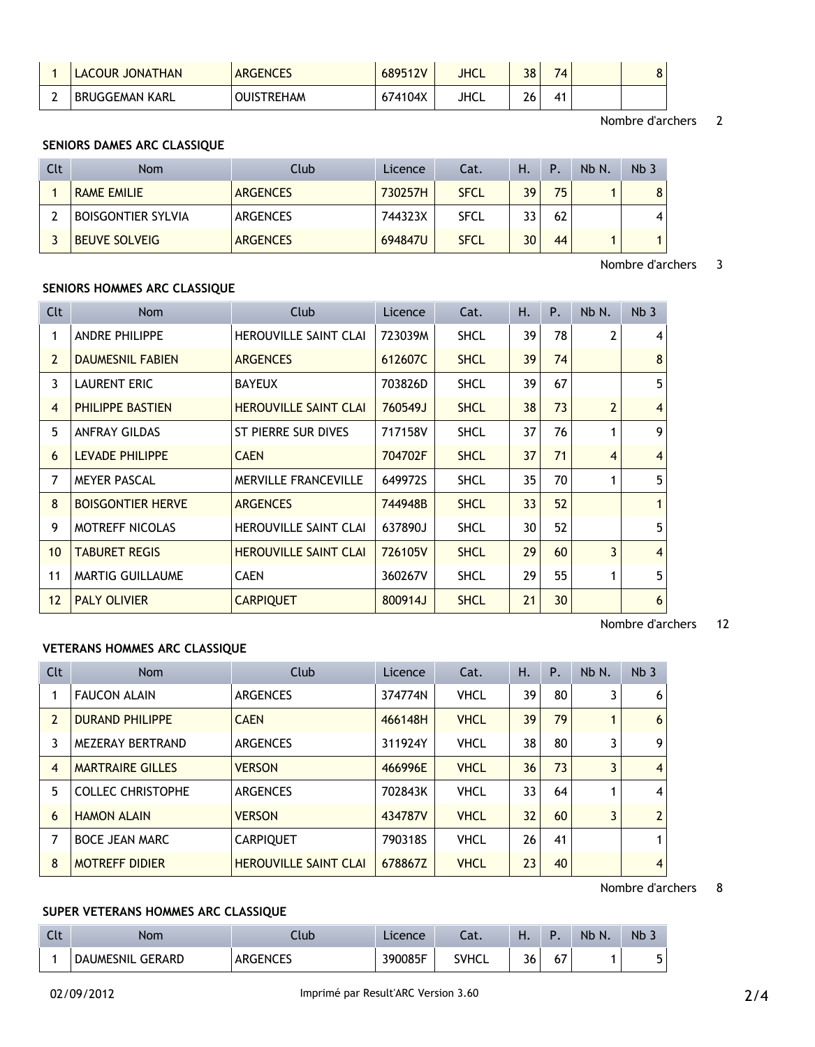| LACOUR JONATHAN | <b>ARGENCES</b>   | 689512V | JHCL | 38     | 74 <sub>1</sub> | 8 |
|-----------------|-------------------|---------|------|--------|-----------------|---|
| BRUGGEMAN KARL  | <b>OUISTREHAM</b> | 674104X | JHCL | $\sim$ | 41              |   |

Nombre d'archers 2

# **SENIORS DAMES ARC CLASSIQUE**

| Clt | <b>Nom</b>                | Club            | Licence | Cat.        | Н. | P  | Nb N. | Nb <sub>3</sub>  |
|-----|---------------------------|-----------------|---------|-------------|----|----|-------|------------------|
|     | <b>RAME EMILIE</b>        | <b>ARGENCES</b> | 730257H | <b>SFCL</b> | 39 | 75 |       | 8                |
|     | <b>BOISGONTIER SYLVIA</b> | ARGENCES        | 744323X | <b>SFCL</b> | 33 | 62 |       | $\boldsymbol{4}$ |
|     | <b>BEUVE SOLVEIG</b>      | <b>ARGENCES</b> | 694847U | <b>SFCL</b> | 30 | 44 |       |                  |

Nombre d'archers 3

## **SENIORS HOMMES ARC CLASSIQUE**

| <b>Clt</b>      | Nom                      | Club                         | <b>Licence</b> | Cat.        | Η. | P. | Nb N.          | Nb <sub>3</sub> |
|-----------------|--------------------------|------------------------------|----------------|-------------|----|----|----------------|-----------------|
|                 | <b>ANDRE PHILIPPE</b>    | <b>HEROUVILLE SAINT CLAI</b> | 723039M        | <b>SHCL</b> | 39 | 78 | 2              | 4               |
| $\overline{2}$  | <b>DAUMESNIL FABIEN</b>  | <b>ARGENCES</b>              | 612607C        | <b>SHCL</b> | 39 | 74 |                | 8               |
| 3               | <b>LAURENT ERIC</b>      | <b>BAYEUX</b>                | 703826D        | <b>SHCL</b> | 39 | 67 |                | 5               |
| $\overline{4}$  | PHILIPPE BASTIEN         | <b>HEROUVILLE SAINT CLAI</b> | 760549J        | <b>SHCL</b> | 38 | 73 | $\overline{2}$ | $\overline{4}$  |
| 5               | <b>ANFRAY GILDAS</b>     | ST PIERRE SUR DIVES          | 717158V        | <b>SHCL</b> | 37 | 76 | 1              | 9               |
| 6               | <b>LEVADE PHILIPPE</b>   | <b>CAEN</b>                  | 704702F        | <b>SHCL</b> | 37 | 71 | $\overline{4}$ | $\overline{4}$  |
| 7               | <b>MEYER PASCAL</b>      | <b>MERVILLE FRANCEVILLE</b>  | 649972S        | <b>SHCL</b> | 35 | 70 | 1              | 5               |
| 8               | <b>BOISGONTIER HERVE</b> | <b>ARGENCES</b>              | 744948B        | <b>SHCL</b> | 33 | 52 |                |                 |
| 9               | <b>MOTREFF NICOLAS</b>   | <b>HEROUVILLE SAINT CLAI</b> | 637890J        | <b>SHCL</b> | 30 | 52 |                | 5               |
| 10 <sup>°</sup> | <b>TABURET REGIS</b>     | <b>HEROUVILLE SAINT CLAI</b> | 726105V        | <b>SHCL</b> | 29 | 60 | 3              | $\overline{4}$  |
| 11              | <b>MARTIG GUILLAUME</b>  | <b>CAEN</b>                  | 360267V        | <b>SHCL</b> | 29 | 55 | 1              | 5               |
| 12              | <b>PALY OLIVIER</b>      | <b>CARPIQUET</b>             | 800914J        | <b>SHCL</b> | 21 | 30 |                | 6               |

Nombre d'archers 12

### **VETERANS HOMMES ARC CLASSIQUE**

| Clt            | <b>Nom</b>               | Club                         | Licence | Cat.        | Η.              | Ρ. | Nb N. | Nb <sub>3</sub> |
|----------------|--------------------------|------------------------------|---------|-------------|-----------------|----|-------|-----------------|
|                | <b>FAUCON ALAIN</b>      | <b>ARGENCES</b>              | 374774N | <b>VHCL</b> | 39              | 80 | 3     | 6               |
| 2              | <b>DURAND PHILIPPE</b>   | <b>CAEN</b>                  | 466148H | <b>VHCL</b> | 39              | 79 |       | 6               |
| 3.             | MEZERAY BERTRAND         | <b>ARGENCES</b>              | 311924Y | <b>VHCL</b> | 38              | 80 | 3     | 9               |
| $\overline{4}$ | <b>MARTRAIRE GILLES</b>  | <b>VERSON</b>                | 466996E | <b>VHCL</b> | 36              | 73 | 3     | $\overline{4}$  |
| 5.             | <b>COLLEC CHRISTOPHE</b> | <b>ARGENCES</b>              | 702843K | <b>VHCL</b> | 33              | 64 |       | 4               |
| 6              | <b>HAMON ALAIN</b>       | <b>VERSON</b>                | 434787V | <b>VHCL</b> | 32 <sup>2</sup> | 60 | 3     | $\overline{2}$  |
| 7              | <b>BOCE JEAN MARC</b>    | <b>CARPIQUET</b>             | 790318S | <b>VHCL</b> | 26              | 41 |       |                 |
| 8              | <b>MOTREFF DIDIER</b>    | <b>HEROUVILLE SAINT CLAI</b> | 678867Z | <b>VHCL</b> | 23              | 40 |       | 4               |

Nombre d'archers 8

## **SUPER VETERANS HOMMES ARC CLASSIQUE**

| $\sim$<br>しいし | <b>Nom</b>                   | Club                     | Licence | $-1$<br>.ac. | п. |           | <b>Nb</b><br>N. | Nb.                       |
|---------------|------------------------------|--------------------------|---------|--------------|----|-----------|-----------------|---------------------------|
|               | . GERARD<br><b>DAUMESNIL</b> | いへいく<br>GENG<br>៶៴៲៲៶៴៲៴ | 390085F | <b>TVHCL</b> | 36 | , –<br>07 |                 | $\overline{ }$<br>ь.<br>J |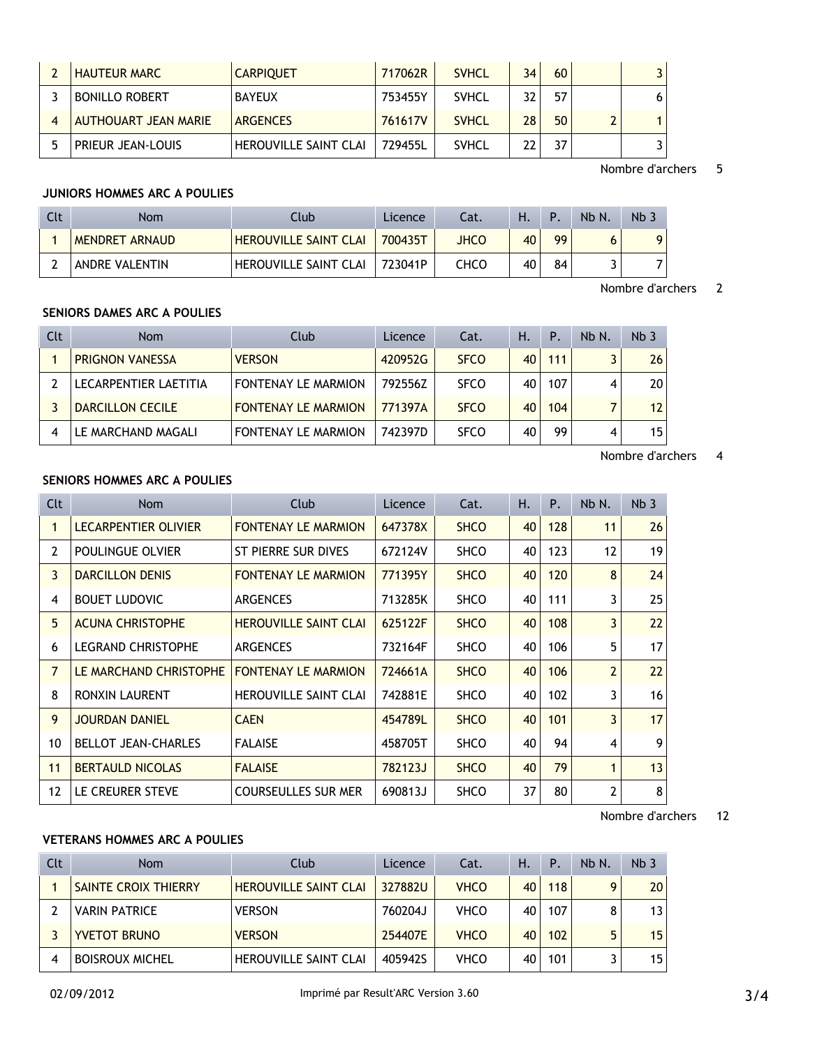| <b>HAUTEUR MARC</b>   | <b>CARPIQUET</b>             | 717062R | <b>SVHCL</b> | 34 | 60 |   |
|-----------------------|------------------------------|---------|--------------|----|----|---|
| <b>BONILLO ROBERT</b> | <b>BAYEUX</b>                | 753455Y | <b>SVHCL</b> | 32 | 57 |   |
| AUTHOUART JEAN MARIE  | <b>ARGENCES</b>              | 761617V | <b>SVHCL</b> | 28 | 50 | 1 |
| PRIEUR JEAN-LOUIS     | <b>HEROUVILLE SAINT CLAI</b> | 729455L | <b>SVHCL</b> | າາ | 37 |   |

### Nombre d'archers 5

### **JUNIORS HOMMES ARC A POULIES**

| Clt | <b>Nom</b>     | Ilub                         | Licence | Cat. | Н. | Þ  | Nb N. | Nb <sub>3</sub> |
|-----|----------------|------------------------------|---------|------|----|----|-------|-----------------|
|     | MENDRET ARNAUD | <b>HEROUVILLE SAINT CLAI</b> | 700435T | JHCO | 40 | 99 |       |                 |
|     | ANDRE VALENTIN | <b>HEROUVILLE SAINT CLAI</b> | 723041P | снсо | 40 | 84 |       |                 |

### Nombre d'archers 2

# **SENIORS DAMES ARC A POULIES**

| Clt | <b>Nom</b>              | Club                       | Licence | Cat.        | н. | P.  | Nb N. | Nb <sub>3</sub> |
|-----|-------------------------|----------------------------|---------|-------------|----|-----|-------|-----------------|
|     | <b>PRIGNON VANESSA</b>  | <b>VERSON</b>              | 420952G | <b>SFCO</b> | 40 | 111 |       | 26              |
|     | LECARPENTIER LAETITIA   | <b>FONTENAY LE MARMION</b> | 792556Z | <b>SFCO</b> | 40 | 107 |       | 20 <sup>1</sup> |
|     | <b>DARCILLON CECILE</b> | <b>FONTENAY LE MARMION</b> | 771397A | <b>SFCO</b> | 40 | 104 |       | 12              |
|     | LE MARCHAND MAGALI      | <b>FONTENAY LE MARMION</b> | 742397D | <b>SFCO</b> | 40 | 99  | 4     | 15 <sup>1</sup> |

### Nombre d'archers 4

## **SENIORS HOMMES ARC A POULIES**

| Clt          | <b>Nom</b>                 | Club                         | Licence | Cat.        | Η. | P.  | Nb N.          | Nb <sub>3</sub> |
|--------------|----------------------------|------------------------------|---------|-------------|----|-----|----------------|-----------------|
| 1            | LECARPENTIER OLIVIER       | <b>FONTENAY LE MARMION</b>   | 647378X | <b>SHCO</b> | 40 | 128 | 11             | 26              |
| 2            | POULINGUE OLVIER           | ST PIERRE SUR DIVES          | 672124V | <b>SHCO</b> | 40 | 123 | 12             | 19              |
| 3            | <b>DARCILLON DENIS</b>     | <b>FONTENAY LE MARMION</b>   | 771395Y | <b>SHCO</b> | 40 | 120 | 8              | 24              |
| 4            | <b>BOUET LUDOVIC</b>       | <b>ARGENCES</b>              | 713285K | <b>SHCO</b> | 40 | 111 | 3              | 25              |
| 5            | <b>ACUNA CHRISTOPHE</b>    | <b>HEROUVILLE SAINT CLAI</b> | 625122F | <b>SHCO</b> | 40 | 108 | 3              | 22              |
| 6            | <b>LEGRAND CHRISTOPHE</b>  | <b>ARGENCES</b>              | 732164F | <b>SHCO</b> | 40 | 106 | 5              | 17              |
| $\mathbf{7}$ | LE MARCHAND CHRISTOPHE     | <b>FONTENAY LE MARMION</b>   | 724661A | <b>SHCO</b> | 40 | 106 | $\overline{2}$ | 22              |
| 8            | <b>RONXIN LAURENT</b>      | <b>HEROUVILLE SAINT CLAI</b> | 742881E | <b>SHCO</b> | 40 | 102 | 3              | 16              |
| 9            | <b>JOURDAN DANIEL</b>      | <b>CAEN</b>                  | 454789L | <b>SHCO</b> | 40 | 101 | 3              | 17              |
| 10           | <b>BELLOT JEAN-CHARLES</b> | <b>FALAISE</b>               | 458705T | <b>SHCO</b> | 40 | 94  | 4              | 9               |
| 11           | <b>BERTAULD NICOLAS</b>    | <b>FALAISE</b>               | 782123J | <b>SHCO</b> | 40 | 79  | 1              | 13              |
| 12           | LE CREURER STEVE           | <b>COURSEULLES SUR MER</b>   | 690813J | <b>SHCO</b> | 37 | 80  | 2              | 8               |

### Nombre d'archers 12

## **VETERANS HOMMES ARC A POULIES**

| Clt | <b>Nom</b>             | Club                         | Licence | Cat.        | Η. | Ρ.  | Nb N. | Nb <sub>3</sub> |
|-----|------------------------|------------------------------|---------|-------------|----|-----|-------|-----------------|
|     | SAINTE CROIX THIERRY   | <b>HEROUVILLE SAINT CLAI</b> | 327882U | <b>VHCO</b> | 40 | 118 | 9     | 20              |
|     | <b>VARIN PATRICE</b>   | <b>VERSON</b>                | 760204J | <b>VHCO</b> | 40 | 107 | 8     | 13              |
|     | <b>YVETOT BRUNO</b>    | <b>VERSON</b>                | 254407E | <b>VHCO</b> | 40 | 102 | 5     | 15              |
|     | <b>BOISROUX MICHEL</b> | <b>HEROUVILLE SAINT CLAI</b> | 4059425 | <b>VHCO</b> | 40 | 101 |       | 15              |